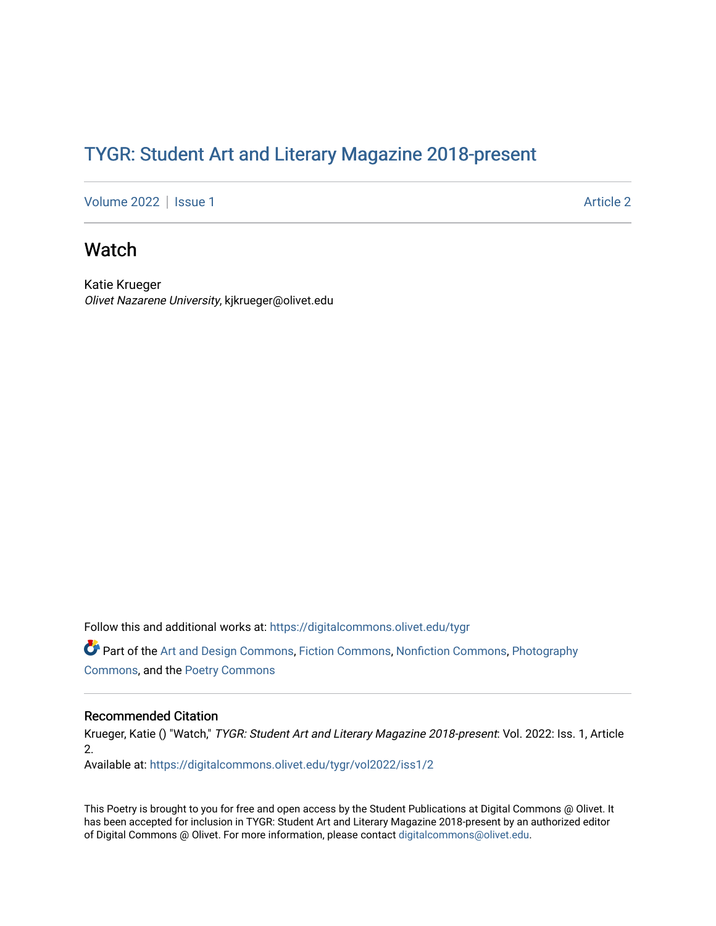## TYGR: Student Art and Literary Magazine 2018-present

[Volume 2022](https://digitalcommons.olivet.edu/tygr/vol2022) | [Issue 1](https://digitalcommons.olivet.edu/tygr/vol2022/iss1) Article 2

## Watch

Katie Krueger Olivet Nazarene University, kjkrueger@olivet.edu

Follow this and additional works at: [https://digitalcommons.olivet.edu/tygr](https://digitalcommons.olivet.edu/tygr?utm_source=digitalcommons.olivet.edu%2Ftygr%2Fvol2022%2Fiss1%2F2&utm_medium=PDF&utm_campaign=PDFCoverPages)

Part of the [Art and Design Commons](http://network.bepress.com/hgg/discipline/1049?utm_source=digitalcommons.olivet.edu%2Ftygr%2Fvol2022%2Fiss1%2F2&utm_medium=PDF&utm_campaign=PDFCoverPages), [Fiction Commons](http://network.bepress.com/hgg/discipline/1151?utm_source=digitalcommons.olivet.edu%2Ftygr%2Fvol2022%2Fiss1%2F2&utm_medium=PDF&utm_campaign=PDFCoverPages), [Nonfiction Commons,](http://network.bepress.com/hgg/discipline/1152?utm_source=digitalcommons.olivet.edu%2Ftygr%2Fvol2022%2Fiss1%2F2&utm_medium=PDF&utm_campaign=PDFCoverPages) [Photography](http://network.bepress.com/hgg/discipline/1142?utm_source=digitalcommons.olivet.edu%2Ftygr%2Fvol2022%2Fiss1%2F2&utm_medium=PDF&utm_campaign=PDFCoverPages) [Commons](http://network.bepress.com/hgg/discipline/1142?utm_source=digitalcommons.olivet.edu%2Ftygr%2Fvol2022%2Fiss1%2F2&utm_medium=PDF&utm_campaign=PDFCoverPages), and the [Poetry Commons](http://network.bepress.com/hgg/discipline/1153?utm_source=digitalcommons.olivet.edu%2Ftygr%2Fvol2022%2Fiss1%2F2&utm_medium=PDF&utm_campaign=PDFCoverPages)

## Recommended Citation

Krueger, Katie () "Watch," TYGR: Student Art and Literary Magazine 2018-present: Vol. 2022: Iss. 1, Article 2.

Available at: [https://digitalcommons.olivet.edu/tygr/vol2022/iss1/2](https://digitalcommons.olivet.edu/tygr/vol2022/iss1/2?utm_source=digitalcommons.olivet.edu%2Ftygr%2Fvol2022%2Fiss1%2F2&utm_medium=PDF&utm_campaign=PDFCoverPages) 

This Poetry is brought to you for free and open access by the Student Publications at Digital Commons @ Olivet. It has been accepted for inclusion in TYGR: Student Art and Literary Magazine 2018-present by an authorized editor of Digital Commons @ Olivet. For more information, please contact [digitalcommons@olivet.edu.](mailto:digitalcommons@olivet.edu)